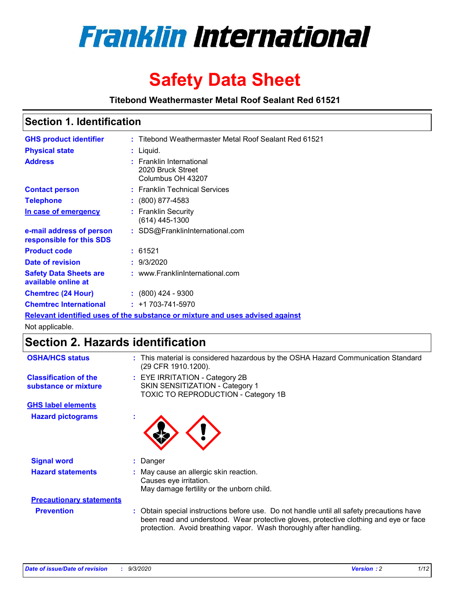

# **Safety Data Sheet**

**Titebond Weathermaster Metal Roof Sealant Red 61521**

### **Section 1. Identification**

| <b>GHS product identifier</b>                                                 |  | : Titebond Weathermaster Metal Roof Sealant Red 61521              |  |  |
|-------------------------------------------------------------------------------|--|--------------------------------------------------------------------|--|--|
| <b>Physical state</b>                                                         |  | : Liquid.                                                          |  |  |
| <b>Address</b>                                                                |  | : Franklin International<br>2020 Bruck Street<br>Columbus OH 43207 |  |  |
| <b>Contact person</b>                                                         |  | : Franklin Technical Services                                      |  |  |
| <b>Telephone</b>                                                              |  | $\div$ (800) 877-4583                                              |  |  |
| In case of emergency                                                          |  | : Franklin Security<br>(614) 445-1300                              |  |  |
| e-mail address of person<br>responsible for this SDS                          |  | : SDS@FranklinInternational.com                                    |  |  |
| <b>Product code</b>                                                           |  | : 61521                                                            |  |  |
| Date of revision                                                              |  | : 9/3/2020                                                         |  |  |
| <b>Safety Data Sheets are</b><br>available online at                          |  | : www.FranklinInternational.com                                    |  |  |
| <b>Chemtrec (24 Hour)</b>                                                     |  | $: (800)$ 424 - 9300                                               |  |  |
| <b>Chemtrec International</b>                                                 |  | $: +1703 - 741 - 5970$                                             |  |  |
| Relevant identified uses of the substance or mixture and uses advised against |  |                                                                    |  |  |

Not applicable.

## **Section 2. Hazards identification**

| <b>OSHA/HCS status</b>                               |    | : This material is considered hazardous by the OSHA Hazard Communication Standard<br>(29 CFR 1910.1200).                                                                                                                                                 |
|------------------------------------------------------|----|----------------------------------------------------------------------------------------------------------------------------------------------------------------------------------------------------------------------------------------------------------|
| <b>Classification of the</b><br>substance or mixture |    | : EYE IRRITATION - Category 2B<br>SKIN SENSITIZATION - Category 1<br>TOXIC TO REPRODUCTION - Category 1B                                                                                                                                                 |
| <b>GHS label elements</b>                            |    |                                                                                                                                                                                                                                                          |
| <b>Hazard pictograms</b>                             | ٠  |                                                                                                                                                                                                                                                          |
| <b>Signal word</b>                                   | ÷. | Danger                                                                                                                                                                                                                                                   |
| <b>Hazard statements</b>                             |    | May cause an allergic skin reaction.<br>Causes eye irritation.<br>May damage fertility or the unborn child.                                                                                                                                              |
| <b>Precautionary statements</b>                      |    |                                                                                                                                                                                                                                                          |
| <b>Prevention</b>                                    |    | : Obtain special instructions before use. Do not handle until all safety precautions have<br>been read and understood. Wear protective gloves, protective clothing and eye or face<br>protection. Avoid breathing vapor. Wash thoroughly after handling. |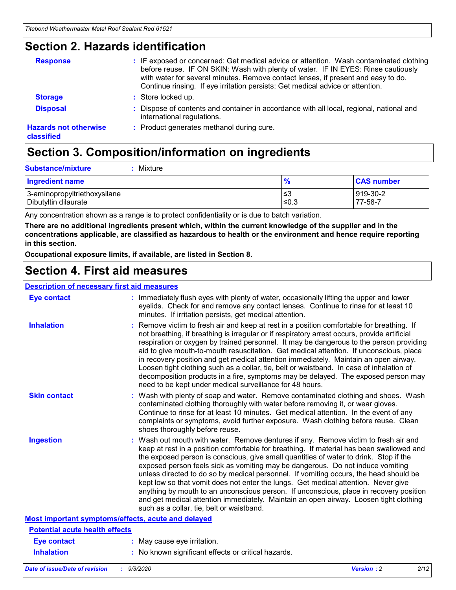### **Section 2. Hazards identification**

| <b>Response</b>                            | : IF exposed or concerned: Get medical advice or attention. Wash contaminated clothing<br>before reuse. IF ON SKIN: Wash with plenty of water. IF IN EYES: Rinse cautiously<br>with water for several minutes. Remove contact lenses, if present and easy to do.<br>Continue rinsing. If eye irritation persists: Get medical advice or attention. |
|--------------------------------------------|----------------------------------------------------------------------------------------------------------------------------------------------------------------------------------------------------------------------------------------------------------------------------------------------------------------------------------------------------|
| <b>Storage</b>                             | : Store locked up.                                                                                                                                                                                                                                                                                                                                 |
| <b>Disposal</b>                            | : Dispose of contents and container in accordance with all local, regional, national and<br>international regulations.                                                                                                                                                                                                                             |
| <b>Hazards not otherwise</b><br>classified | : Product generates methanol during cure.                                                                                                                                                                                                                                                                                                          |

## **Section 3. Composition/information on ingredients**

| <b>Substance/mixture</b> | $:$ Mixture |
|--------------------------|-------------|
|                          |             |

| <b>Ingredient name</b>       | 70    | <b>CAS number</b> |
|------------------------------|-------|-------------------|
| 3-aminopropyltriethoxysilane | ≤3    | 919-30-2          |
| Dibutyltin dilaurate         | .≤0.3 | 77-58-7           |

Any concentration shown as a range is to protect confidentiality or is due to batch variation.

**There are no additional ingredients present which, within the current knowledge of the supplier and in the concentrations applicable, are classified as hazardous to health or the environment and hence require reporting in this section.**

**Occupational exposure limits, if available, are listed in Section 8.**

### **Section 4. First aid measures**

| <b>Description of necessary first aid measures</b> |                                                                                                                                                                                                                                                                                                                                                                                                                                                                                                                                                                                                                                                                                                                                                                           |
|----------------------------------------------------|---------------------------------------------------------------------------------------------------------------------------------------------------------------------------------------------------------------------------------------------------------------------------------------------------------------------------------------------------------------------------------------------------------------------------------------------------------------------------------------------------------------------------------------------------------------------------------------------------------------------------------------------------------------------------------------------------------------------------------------------------------------------------|
| <b>Eye contact</b>                                 | : Immediately flush eyes with plenty of water, occasionally lifting the upper and lower<br>eyelids. Check for and remove any contact lenses. Continue to rinse for at least 10<br>minutes. If irritation persists, get medical attention.                                                                                                                                                                                                                                                                                                                                                                                                                                                                                                                                 |
| <b>Inhalation</b>                                  | : Remove victim to fresh air and keep at rest in a position comfortable for breathing. If<br>not breathing, if breathing is irregular or if respiratory arrest occurs, provide artificial<br>respiration or oxygen by trained personnel. It may be dangerous to the person providing<br>aid to give mouth-to-mouth resuscitation. Get medical attention. If unconscious, place<br>in recovery position and get medical attention immediately. Maintain an open airway.<br>Loosen tight clothing such as a collar, tie, belt or waistband. In case of inhalation of<br>decomposition products in a fire, symptoms may be delayed. The exposed person may<br>need to be kept under medical surveillance for 48 hours.                                                       |
| <b>Skin contact</b>                                | : Wash with plenty of soap and water. Remove contaminated clothing and shoes. Wash<br>contaminated clothing thoroughly with water before removing it, or wear gloves.<br>Continue to rinse for at least 10 minutes. Get medical attention. In the event of any<br>complaints or symptoms, avoid further exposure. Wash clothing before reuse. Clean<br>shoes thoroughly before reuse.                                                                                                                                                                                                                                                                                                                                                                                     |
| <b>Ingestion</b>                                   | : Wash out mouth with water. Remove dentures if any. Remove victim to fresh air and<br>keep at rest in a position comfortable for breathing. If material has been swallowed and<br>the exposed person is conscious, give small quantities of water to drink. Stop if the<br>exposed person feels sick as vomiting may be dangerous. Do not induce vomiting<br>unless directed to do so by medical personnel. If vomiting occurs, the head should be<br>kept low so that vomit does not enter the lungs. Get medical attention. Never give<br>anything by mouth to an unconscious person. If unconscious, place in recovery position<br>and get medical attention immediately. Maintain an open airway. Loosen tight clothing<br>such as a collar, tie, belt or waistband. |
| Most important symptoms/effects, acute and delayed |                                                                                                                                                                                                                                                                                                                                                                                                                                                                                                                                                                                                                                                                                                                                                                           |
| <b>Potential acute health effects</b>              |                                                                                                                                                                                                                                                                                                                                                                                                                                                                                                                                                                                                                                                                                                                                                                           |
| <b>Eye contact</b>                                 | : May cause eye irritation.                                                                                                                                                                                                                                                                                                                                                                                                                                                                                                                                                                                                                                                                                                                                               |
| <b>Inhalation</b>                                  | : No known significant effects or critical hazards.                                                                                                                                                                                                                                                                                                                                                                                                                                                                                                                                                                                                                                                                                                                       |
|                                                    |                                                                                                                                                                                                                                                                                                                                                                                                                                                                                                                                                                                                                                                                                                                                                                           |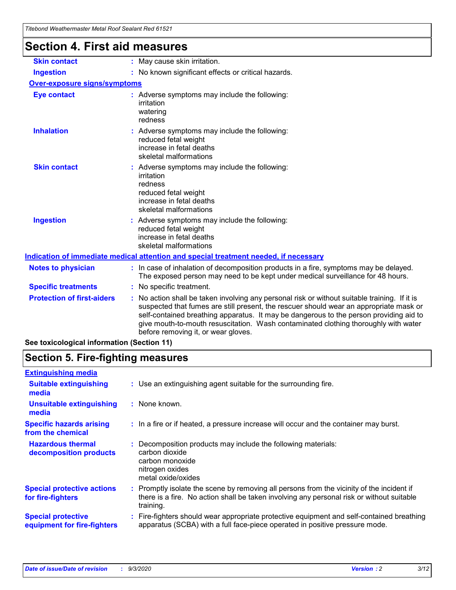| <b>Section 4. First aid measures</b> |                                                                                                                                                                                                                                                                                                                                                                                                                 |
|--------------------------------------|-----------------------------------------------------------------------------------------------------------------------------------------------------------------------------------------------------------------------------------------------------------------------------------------------------------------------------------------------------------------------------------------------------------------|
| <b>Skin contact</b>                  | : May cause skin irritation.                                                                                                                                                                                                                                                                                                                                                                                    |
| <b>Ingestion</b>                     | : No known significant effects or critical hazards.                                                                                                                                                                                                                                                                                                                                                             |
| <b>Over-exposure signs/symptoms</b>  |                                                                                                                                                                                                                                                                                                                                                                                                                 |
| <b>Eye contact</b>                   | : Adverse symptoms may include the following:<br>irritation<br>watering<br>redness                                                                                                                                                                                                                                                                                                                              |
| <b>Inhalation</b>                    | : Adverse symptoms may include the following:<br>reduced fetal weight<br>increase in fetal deaths<br>skeletal malformations                                                                                                                                                                                                                                                                                     |
| <b>Skin contact</b>                  | : Adverse symptoms may include the following:<br>irritation<br>redness<br>reduced fetal weight<br>increase in fetal deaths<br>skeletal malformations                                                                                                                                                                                                                                                            |
| <b>Ingestion</b>                     | : Adverse symptoms may include the following:<br>reduced fetal weight<br>increase in fetal deaths<br>skeletal malformations                                                                                                                                                                                                                                                                                     |
|                                      | Indication of immediate medical attention and special treatment needed, if necessary                                                                                                                                                                                                                                                                                                                            |
| <b>Notes to physician</b>            | : In case of inhalation of decomposition products in a fire, symptoms may be delayed.<br>The exposed person may need to be kept under medical surveillance for 48 hours.                                                                                                                                                                                                                                        |
| <b>Specific treatments</b>           | : No specific treatment.                                                                                                                                                                                                                                                                                                                                                                                        |
| <b>Protection of first-aiders</b>    | : No action shall be taken involving any personal risk or without suitable training. If it is<br>suspected that fumes are still present, the rescuer should wear an appropriate mask or<br>self-contained breathing apparatus. It may be dangerous to the person providing aid to<br>give mouth-to-mouth resuscitation. Wash contaminated clothing thoroughly with water<br>before removing it, or wear gloves. |

**See toxicological information (Section 11)**

## **Section 5. Fire-fighting measures**

| <b>Extinguishing media</b>                               |                                                                                                                                                                                                     |
|----------------------------------------------------------|-----------------------------------------------------------------------------------------------------------------------------------------------------------------------------------------------------|
| <b>Suitable extinguishing</b><br>media                   | : Use an extinguishing agent suitable for the surrounding fire.                                                                                                                                     |
| <b>Unsuitable extinguishing</b><br>media                 | $:$ None known.                                                                                                                                                                                     |
| <b>Specific hazards arising</b><br>from the chemical     | : In a fire or if heated, a pressure increase will occur and the container may burst.                                                                                                               |
| <b>Hazardous thermal</b><br>decomposition products       | Decomposition products may include the following materials:<br>carbon dioxide<br>carbon monoxide<br>nitrogen oxides<br>metal oxide/oxides                                                           |
| <b>Special protective actions</b><br>for fire-fighters   | : Promptly isolate the scene by removing all persons from the vicinity of the incident if<br>there is a fire. No action shall be taken involving any personal risk or without suitable<br>training. |
| <b>Special protective</b><br>equipment for fire-fighters | Fire-fighters should wear appropriate protective equipment and self-contained breathing<br>apparatus (SCBA) with a full face-piece operated in positive pressure mode.                              |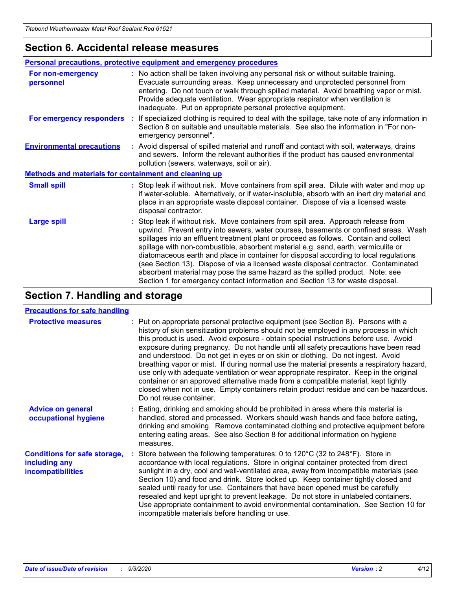### **Section 6. Accidental release measures**

|                                                              | Personal precautions, protective equipment and emergency procedures                                                                                                                                                                                                                                                                                                                                                                                                                                                                                                                                                                                                                                          |  |  |  |
|--------------------------------------------------------------|--------------------------------------------------------------------------------------------------------------------------------------------------------------------------------------------------------------------------------------------------------------------------------------------------------------------------------------------------------------------------------------------------------------------------------------------------------------------------------------------------------------------------------------------------------------------------------------------------------------------------------------------------------------------------------------------------------------|--|--|--|
| For non-emergency<br>personnel                               | : No action shall be taken involving any personal risk or without suitable training.<br>Evacuate surrounding areas. Keep unnecessary and unprotected personnel from<br>entering. Do not touch or walk through spilled material. Avoid breathing vapor or mist.<br>Provide adequate ventilation. Wear appropriate respirator when ventilation is<br>inadequate. Put on appropriate personal protective equipment.                                                                                                                                                                                                                                                                                             |  |  |  |
| For emergency responders                                     | : If specialized clothing is required to deal with the spillage, take note of any information in<br>Section 8 on suitable and unsuitable materials. See also the information in "For non-<br>emergency personnel".                                                                                                                                                                                                                                                                                                                                                                                                                                                                                           |  |  |  |
| <b>Environmental precautions</b>                             | : Avoid dispersal of spilled material and runoff and contact with soil, waterways, drains<br>and sewers. Inform the relevant authorities if the product has caused environmental<br>pollution (sewers, waterways, soil or air).                                                                                                                                                                                                                                                                                                                                                                                                                                                                              |  |  |  |
| <b>Methods and materials for containment and cleaning up</b> |                                                                                                                                                                                                                                                                                                                                                                                                                                                                                                                                                                                                                                                                                                              |  |  |  |
| <b>Small spill</b>                                           | : Stop leak if without risk. Move containers from spill area. Dilute with water and mop up<br>if water-soluble. Alternatively, or if water-insoluble, absorb with an inert dry material and<br>place in an appropriate waste disposal container. Dispose of via a licensed waste<br>disposal contractor.                                                                                                                                                                                                                                                                                                                                                                                                     |  |  |  |
| <b>Large spill</b>                                           | : Stop leak if without risk. Move containers from spill area. Approach release from<br>upwind. Prevent entry into sewers, water courses, basements or confined areas. Wash<br>spillages into an effluent treatment plant or proceed as follows. Contain and collect<br>spillage with non-combustible, absorbent material e.g. sand, earth, vermiculite or<br>diatomaceous earth and place in container for disposal according to local regulations<br>(see Section 13). Dispose of via a licensed waste disposal contractor. Contaminated<br>absorbent material may pose the same hazard as the spilled product. Note: see<br>Section 1 for emergency contact information and Section 13 for waste disposal. |  |  |  |

## **Section 7. Handling and storage**

### **Precautions for safe handling**

| <b>Protective measures</b>                                                       | : Put on appropriate personal protective equipment (see Section 8). Persons with a<br>history of skin sensitization problems should not be employed in any process in which<br>this product is used. Avoid exposure - obtain special instructions before use. Avoid<br>exposure during pregnancy. Do not handle until all safety precautions have been read<br>and understood. Do not get in eyes or on skin or clothing. Do not ingest. Avoid<br>breathing vapor or mist. If during normal use the material presents a respiratory hazard,<br>use only with adequate ventilation or wear appropriate respirator. Keep in the original<br>container or an approved alternative made from a compatible material, kept tightly<br>closed when not in use. Empty containers retain product residue and can be hazardous.<br>Do not reuse container. |
|----------------------------------------------------------------------------------|--------------------------------------------------------------------------------------------------------------------------------------------------------------------------------------------------------------------------------------------------------------------------------------------------------------------------------------------------------------------------------------------------------------------------------------------------------------------------------------------------------------------------------------------------------------------------------------------------------------------------------------------------------------------------------------------------------------------------------------------------------------------------------------------------------------------------------------------------|
| <b>Advice on general</b><br>occupational hygiene                                 | : Eating, drinking and smoking should be prohibited in areas where this material is<br>handled, stored and processed. Workers should wash hands and face before eating,<br>drinking and smoking. Remove contaminated clothing and protective equipment before<br>entering eating areas. See also Section 8 for additional information on hygiene<br>measures.                                                                                                                                                                                                                                                                                                                                                                                                                                                                                    |
| <b>Conditions for safe storage,</b><br>including any<br><i>incompatibilities</i> | Store between the following temperatures: 0 to $120^{\circ}$ C (32 to $248^{\circ}$ F). Store in<br>accordance with local regulations. Store in original container protected from direct<br>sunlight in a dry, cool and well-ventilated area, away from incompatible materials (see<br>Section 10) and food and drink. Store locked up. Keep container tightly closed and<br>sealed until ready for use. Containers that have been opened must be carefully<br>resealed and kept upright to prevent leakage. Do not store in unlabeled containers.<br>Use appropriate containment to avoid environmental contamination. See Section 10 for<br>incompatible materials before handling or use.                                                                                                                                                     |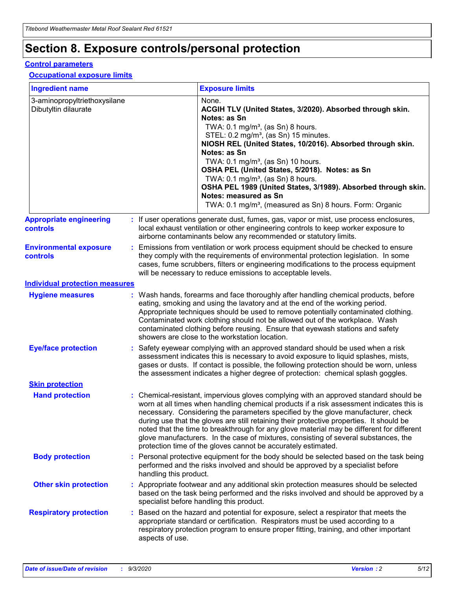## **Section 8. Exposure controls/personal protection**

### **Control parameters**

### **Occupational exposure limits**

| <b>Ingredient name</b>                               |    |                        | <b>Exposure limits</b>                                                                                                                                                                                                                                                                                                                                                                                                                                                                                                                                                                                                 |
|------------------------------------------------------|----|------------------------|------------------------------------------------------------------------------------------------------------------------------------------------------------------------------------------------------------------------------------------------------------------------------------------------------------------------------------------------------------------------------------------------------------------------------------------------------------------------------------------------------------------------------------------------------------------------------------------------------------------------|
| 3-aminopropyltriethoxysilane<br>Dibutyltin dilaurate |    |                        | None.<br>ACGIH TLV (United States, 3/2020). Absorbed through skin.<br>Notes: as Sn<br>TWA: $0.1 \text{ mg/m}^3$ , (as Sn) 8 hours.<br>STEL: 0.2 mg/m <sup>3</sup> , (as Sn) 15 minutes.<br>NIOSH REL (United States, 10/2016). Absorbed through skin.<br>Notes: as Sn<br>TWA: 0.1 mg/m <sup>3</sup> , (as Sn) 10 hours.<br>OSHA PEL (United States, 5/2018). Notes: as Sn<br>TWA: 0.1 mg/m <sup>3</sup> , (as Sn) 8 hours.<br>OSHA PEL 1989 (United States, 3/1989). Absorbed through skin.<br>Notes: measured as Sn<br>TWA: 0.1 mg/m <sup>3</sup> , (measured as Sn) 8 hours. Form: Organic                           |
| <b>Appropriate engineering</b><br>controls           |    |                        | : If user operations generate dust, fumes, gas, vapor or mist, use process enclosures,<br>local exhaust ventilation or other engineering controls to keep worker exposure to<br>airborne contaminants below any recommended or statutory limits.                                                                                                                                                                                                                                                                                                                                                                       |
| <b>Environmental exposure</b><br>controls            |    |                        | Emissions from ventilation or work process equipment should be checked to ensure<br>they comply with the requirements of environmental protection legislation. In some<br>cases, fume scrubbers, filters or engineering modifications to the process equipment<br>will be necessary to reduce emissions to acceptable levels.                                                                                                                                                                                                                                                                                          |
| <b>Individual protection measures</b>                |    |                        |                                                                                                                                                                                                                                                                                                                                                                                                                                                                                                                                                                                                                        |
| <b>Hygiene measures</b>                              |    |                        | : Wash hands, forearms and face thoroughly after handling chemical products, before<br>eating, smoking and using the lavatory and at the end of the working period.<br>Appropriate techniques should be used to remove potentially contaminated clothing.<br>Contaminated work clothing should not be allowed out of the workplace. Wash<br>contaminated clothing before reusing. Ensure that eyewash stations and safety<br>showers are close to the workstation location.                                                                                                                                            |
| <b>Eye/face protection</b>                           |    |                        | Safety eyewear complying with an approved standard should be used when a risk<br>assessment indicates this is necessary to avoid exposure to liquid splashes, mists,<br>gases or dusts. If contact is possible, the following protection should be worn, unless<br>the assessment indicates a higher degree of protection: chemical splash goggles.                                                                                                                                                                                                                                                                    |
| <b>Skin protection</b>                               |    |                        |                                                                                                                                                                                                                                                                                                                                                                                                                                                                                                                                                                                                                        |
| <b>Hand protection</b>                               |    |                        | : Chemical-resistant, impervious gloves complying with an approved standard should be<br>worn at all times when handling chemical products if a risk assessment indicates this is<br>necessary. Considering the parameters specified by the glove manufacturer, check<br>during use that the gloves are still retaining their protective properties. It should be<br>noted that the time to breakthrough for any glove material may be different for different<br>glove manufacturers. In the case of mixtures, consisting of several substances, the<br>protection time of the gloves cannot be accurately estimated. |
| <b>Body protection</b>                               |    | handling this product. | Personal protective equipment for the body should be selected based on the task being<br>performed and the risks involved and should be approved by a specialist before                                                                                                                                                                                                                                                                                                                                                                                                                                                |
| <b>Other skin protection</b>                         |    |                        | : Appropriate footwear and any additional skin protection measures should be selected<br>based on the task being performed and the risks involved and should be approved by a<br>specialist before handling this product.                                                                                                                                                                                                                                                                                                                                                                                              |
| <b>Respiratory protection</b>                        | ÷. | aspects of use.        | Based on the hazard and potential for exposure, select a respirator that meets the<br>appropriate standard or certification. Respirators must be used according to a<br>respiratory protection program to ensure proper fitting, training, and other important                                                                                                                                                                                                                                                                                                                                                         |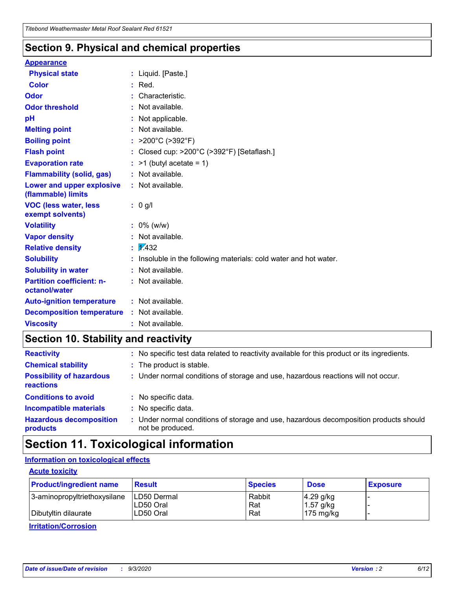### **Section 9. Physical and chemical properties**

### **Appearance**

| <b>Physical state</b>                             |   | : Liquid. [Paste.]                                              |
|---------------------------------------------------|---|-----------------------------------------------------------------|
| <b>Color</b>                                      |   | Red.                                                            |
| Odor                                              |   | Characteristic.                                                 |
| <b>Odor threshold</b>                             | ÷ | Not available.                                                  |
| рH                                                |   | Not applicable.                                                 |
| <b>Melting point</b>                              |   | : Not available.                                                |
| <b>Boiling point</b>                              |   | >200°C (>392°F)                                                 |
| <b>Flash point</b>                                |   | Closed cup: >200°C (>392°F) [Setaflash.]                        |
| <b>Evaporation rate</b>                           |   | $:$ >1 (butyl acetate = 1)                                      |
| <b>Flammability (solid, gas)</b>                  |   | : Not available.                                                |
| Lower and upper explosive<br>(flammable) limits   |   | : Not available.                                                |
| <b>VOC (less water, less)</b><br>exempt solvents) |   | : 0 g/l                                                         |
| <b>Volatility</b>                                 |   | $: 0\%$ (w/w)                                                   |
| <b>Vapor density</b>                              |   | Not available.                                                  |
| <b>Relative density</b>                           |   | $\mathbf{1}$ $\mathbf{\sqrt{432}}$                              |
| <b>Solubility</b>                                 |   | Insoluble in the following materials: cold water and hot water. |
| <b>Solubility in water</b>                        |   | Not available.                                                  |
| <b>Partition coefficient: n-</b><br>octanol/water |   | $:$ Not available.                                              |
| <b>Auto-ignition temperature</b>                  |   | : Not available.                                                |
| <b>Decomposition temperature</b>                  |   | : Not available.                                                |
| <b>Viscosity</b>                                  |   | $:$ Not available.                                              |

## **Section 10. Stability and reactivity**

| <b>Reactivity</b>                            |    | : No specific test data related to reactivity available for this product or its ingredients.            |
|----------------------------------------------|----|---------------------------------------------------------------------------------------------------------|
| <b>Chemical stability</b>                    |    | : The product is stable.                                                                                |
| <b>Possibility of hazardous</b><br>reactions |    | : Under normal conditions of storage and use, hazardous reactions will not occur.                       |
| <b>Conditions to avoid</b>                   |    | : No specific data.                                                                                     |
| <b>Incompatible materials</b>                | ٠. | No specific data.                                                                                       |
| <b>Hazardous decomposition</b><br>products   | ÷. | Under normal conditions of storage and use, hazardous decomposition products should<br>not be produced. |

## **Section 11. Toxicological information**

### **Information on toxicological effects**

### **Acute toxicity**

| <b>Product/ingredient name</b> | <b>Result</b>           | <b>Species</b> | <b>Dose</b>                | <b>Exposure</b> |
|--------------------------------|-------------------------|----------------|----------------------------|-----------------|
| 3-aminopropyltriethoxysilane   | <b>ILD50 Dermal</b>     | Rabbit         | 4.29 g/kg                  |                 |
| Dibutyltin dilaurate           | ILD50 Oral<br>LD50 Oral | Rat<br>Rat     | $1.57$ g/kg<br>175 $mg/kg$ |                 |
|                                |                         |                |                            |                 |

**Irritation/Corrosion**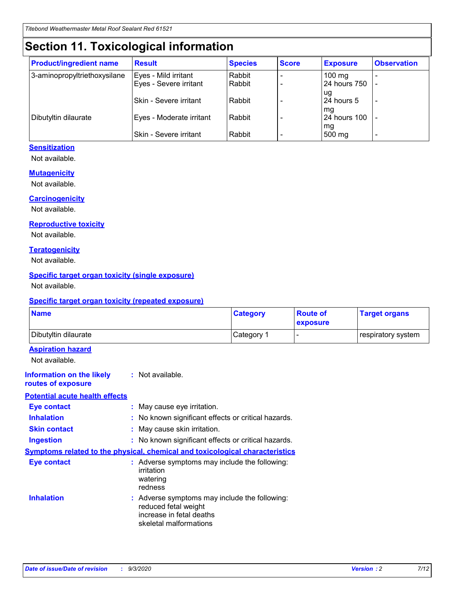## **Section 11. Toxicological information**

| <b>Product/ingredient name</b> | <b>Result</b>                 | <b>Species</b> | <b>Score</b> | <b>Exposure</b>           | <b>Observation</b> |
|--------------------------------|-------------------------------|----------------|--------------|---------------------------|--------------------|
| 3-aminopropyltriethoxysilane   | Eyes - Mild irritant          | Rabbit         |              | $100 \text{ mg}$          |                    |
|                                | Eyes - Severe irritant        | Rabbit         |              | 24 hours 750              |                    |
|                                |                               |                |              | ug                        |                    |
|                                | <b>Skin - Severe irritant</b> | Rabbit         |              | 24 hours 5                | -                  |
| Dibutyltin dilaurate           | Eyes - Moderate irritant      | Rabbit         |              | mq<br><b>24 hours 100</b> |                    |
|                                |                               |                |              | mg                        |                    |
|                                | Skin - Severe irritant        | Rabbit         |              | 500 mg                    |                    |

### **Sensitization**

Not available.

### **Mutagenicity**

Not available.

### **Carcinogenicity**

Not available.

#### **Reproductive toxicity**

Not available.

### **Teratogenicity**

Not available.

### **Specific target organ toxicity (single exposure)**

Not available.

### **Specific target organ toxicity (repeated exposure)**

| <b>Name</b>                                                                         |                                                                            | <b>Category</b>                                     | <b>Route of</b><br>exposure | <b>Target organs</b> |  |
|-------------------------------------------------------------------------------------|----------------------------------------------------------------------------|-----------------------------------------------------|-----------------------------|----------------------|--|
| Dibutyltin dilaurate                                                                |                                                                            | Category 1                                          | -                           | respiratory system   |  |
| <b>Aspiration hazard</b><br>Not available.                                          |                                                                            |                                                     |                             |                      |  |
| <b>Information on the likely</b><br>routes of exposure                              | : Not available.                                                           |                                                     |                             |                      |  |
| <b>Potential acute health effects</b>                                               |                                                                            |                                                     |                             |                      |  |
| <b>Eye contact</b>                                                                  | : May cause eye irritation.                                                |                                                     |                             |                      |  |
| <b>Inhalation</b>                                                                   |                                                                            | : No known significant effects or critical hazards. |                             |                      |  |
| <b>Skin contact</b>                                                                 |                                                                            | : May cause skin irritation.                        |                             |                      |  |
| <b>Ingestion</b>                                                                    |                                                                            | : No known significant effects or critical hazards. |                             |                      |  |
| <b>Symptoms related to the physical, chemical and toxicological characteristics</b> |                                                                            |                                                     |                             |                      |  |
| <b>Eye contact</b>                                                                  | irritation<br>watering<br>redness                                          | : Adverse symptoms may include the following:       |                             |                      |  |
| <b>Inhalation</b>                                                                   | reduced fetal weight<br>increase in fetal deaths<br>skeletal malformations | : Adverse symptoms may include the following:       |                             |                      |  |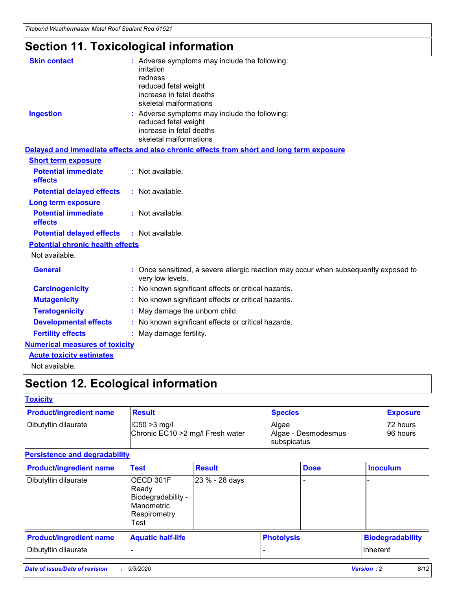*Titebond Weathermaster Metal Roof Sealant Red 61521*

## **Section 11. Toxicological information**

| <b>Skin contact</b>                     | : Adverse symptoms may include the following:<br>irritation                                                                 |  |
|-----------------------------------------|-----------------------------------------------------------------------------------------------------------------------------|--|
|                                         | redness                                                                                                                     |  |
|                                         | reduced fetal weight<br>increase in fetal deaths                                                                            |  |
|                                         | skeletal malformations                                                                                                      |  |
| <b>Ingestion</b>                        | : Adverse symptoms may include the following:<br>reduced fetal weight<br>increase in fetal deaths<br>skeletal malformations |  |
|                                         | Delayed and immediate effects and also chronic effects from short and long term exposure                                    |  |
| <b>Short term exposure</b>              |                                                                                                                             |  |
| <b>Potential immediate</b><br>effects   | : Not available.                                                                                                            |  |
| <b>Potential delayed effects</b>        | : Not available.                                                                                                            |  |
| Long term exposure                      |                                                                                                                             |  |
| <b>Potential immediate</b><br>effects   | : Not available.                                                                                                            |  |
| <b>Potential delayed effects</b>        | : Not available.                                                                                                            |  |
| <b>Potential chronic health effects</b> |                                                                                                                             |  |
| Not available.                          |                                                                                                                             |  |
| <b>General</b>                          | Once sensitized, a severe allergic reaction may occur when subsequently exposed to<br>very low levels.                      |  |
| <b>Carcinogenicity</b>                  | : No known significant effects or critical hazards.                                                                         |  |
| <b>Mutagenicity</b>                     | : No known significant effects or critical hazards.                                                                         |  |
| <b>Teratogenicity</b>                   | May damage the unborn child.                                                                                                |  |
| <b>Developmental effects</b>            | : No known significant effects or critical hazards.                                                                         |  |
| <b>Fertility effects</b>                | May damage fertility.                                                                                                       |  |
| <b>Numerical measures of toxicity</b>   |                                                                                                                             |  |
| <b>Acute toxicity estimates</b>         |                                                                                                                             |  |
| الملحلة والمستحيط والمسالم              |                                                                                                                             |  |

Not available.

## **Section 12. Ecological information**

### **Toxicity**

| <b>Product/ingredient name</b> | <b>Result</b>                                       | <b>Species</b>               | <b>Exposure</b>       |
|--------------------------------|-----------------------------------------------------|------------------------------|-----------------------|
| Dibutyltin dilaurate           | $ CC50>3$ mg/l<br>Chronic EC10 > 2 mg/l Fresh water | Algae<br>Algae - Desmodesmus | 72 hours<br>196 hours |
|                                |                                                     | <b>I</b> subspicatus         |                       |

### **Persistence and degradability**

| <b>Product/ingredient name</b> | <b>Test</b>                                                                    | <b>Result</b>  |                   | <b>Dose</b> | <b>Inoculum</b>         |
|--------------------------------|--------------------------------------------------------------------------------|----------------|-------------------|-------------|-------------------------|
| Dibutyltin dilaurate           | OECD 301F<br>Ready<br>Biodegradability -<br>Manometric<br>Respirometry<br>Test | 23 % - 28 days |                   |             |                         |
| <b>Product/ingredient name</b> | <b>Aquatic half-life</b>                                                       |                | <b>Photolysis</b> |             | <b>Biodegradability</b> |
| Dibutyltin dilaurate           |                                                                                |                |                   |             | <b>Inherent</b>         |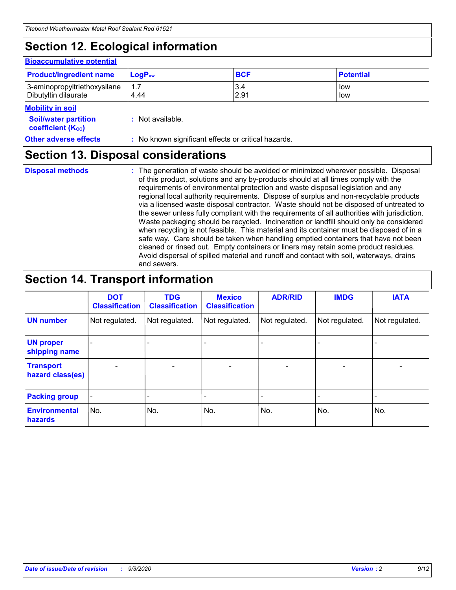## **Section 12. Ecological information**

### **Bioaccumulative potential**

| <b>Product/ingredient name</b> | <b>LogP</b> <sub>ow</sub> | <b>BCF</b> | <b>Potential</b> |
|--------------------------------|---------------------------|------------|------------------|
| 3-aminopropyltriethoxysilane   | 4.44                      | 3.4        | low              |
| Dibutyltin dilaurate           |                           | 2.91       | low              |

#### **Mobility in soil**

| <b>Soil/water partition</b>    | : Not available. |
|--------------------------------|------------------|
| coefficient (K <sub>oc</sub> ) |                  |

**Other adverse effects** : No known significant effects or critical hazards.

### **Section 13. Disposal considerations**

**Disposal methods :**

The generation of waste should be avoided or minimized wherever possible. Disposal of this product, solutions and any by-products should at all times comply with the requirements of environmental protection and waste disposal legislation and any regional local authority requirements. Dispose of surplus and non-recyclable products via a licensed waste disposal contractor. Waste should not be disposed of untreated to the sewer unless fully compliant with the requirements of all authorities with jurisdiction. Waste packaging should be recycled. Incineration or landfill should only be considered when recycling is not feasible. This material and its container must be disposed of in a safe way. Care should be taken when handling emptied containers that have not been cleaned or rinsed out. Empty containers or liners may retain some product residues. Avoid dispersal of spilled material and runoff and contact with soil, waterways, drains and sewers.

## **Section 14. Transport information**

|                                      | <b>DOT</b><br><b>Classification</b> | <b>TDG</b><br><b>Classification</b> | <b>Mexico</b><br><b>Classification</b> | <b>ADR/RID</b>           | <b>IMDG</b>              | <b>IATA</b>    |
|--------------------------------------|-------------------------------------|-------------------------------------|----------------------------------------|--------------------------|--------------------------|----------------|
| <b>UN number</b>                     | Not regulated.                      | Not regulated.                      | Not regulated.                         | Not regulated.           | Not regulated.           | Not regulated. |
| <b>UN proper</b><br>shipping name    |                                     |                                     |                                        |                          |                          |                |
| <b>Transport</b><br>hazard class(es) |                                     | $\overline{\phantom{0}}$            | $\qquad \qquad \blacksquare$           | $\overline{\phantom{0}}$ | $\overline{\phantom{0}}$ |                |
| <b>Packing group</b>                 |                                     |                                     |                                        |                          |                          |                |
| <b>Environmental</b><br>hazards      | No.                                 | No.                                 | No.                                    | No.                      | No.                      | No.            |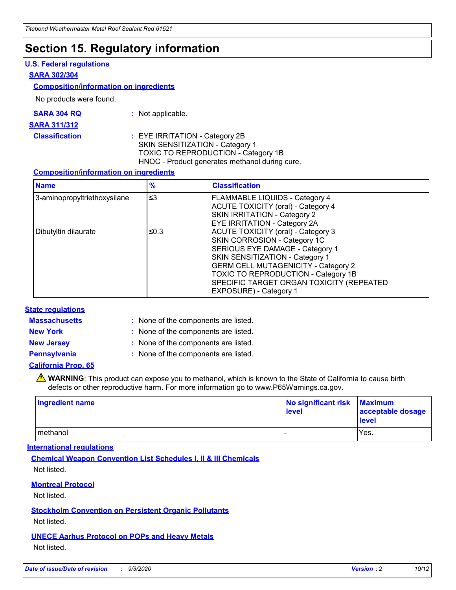## **Section 15. Regulatory information**

### **U.S. Federal regulations**

### **SARA 302/304**

### **Composition/information on ingredients**

No products were found.

| SARA 304 RQ | Not applicable. |
|-------------|-----------------|
|-------------|-----------------|

#### **SARA 311/312**

**Classification :** EYE IRRITATION - Category 2B SKIN SENSITIZATION - Category 1 TOXIC TO REPRODUCTION - Category 1B HNOC - Product generates methanol during cure.

### **Composition/information on ingredients**

| <b>Name</b>                  | $\frac{9}{6}$ | <b>Classification</b>                                                                                                                                                                                                                                                                                      |
|------------------------------|---------------|------------------------------------------------------------------------------------------------------------------------------------------------------------------------------------------------------------------------------------------------------------------------------------------------------------|
| 3-aminopropyltriethoxysilane | $\leq$ 3      | <b>FLAMMABLE LIQUIDS - Category 4</b><br><b>ACUTE TOXICITY (oral) - Category 4</b><br><b>SKIN IRRITATION - Category 2</b><br>EYE IRRITATION - Category 2A                                                                                                                                                  |
| Dibutyltin dilaurate         | ≤0.3          | <b>ACUTE TOXICITY (oral) - Category 3</b><br>SKIN CORROSION - Category 1C<br>SERIOUS EYE DAMAGE - Category 1<br>SKIN SENSITIZATION - Category 1<br><b>GERM CELL MUTAGENICITY - Category 2</b><br>TOXIC TO REPRODUCTION - Category 1B<br>SPECIFIC TARGET ORGAN TOXICITY (REPEATED<br>EXPOSURE) - Category 1 |

### **State regulations**

**Massachusetts :**

: None of the components are listed.

**New York :** None of the components are listed. **New Jersey :** None of the components are listed.

**Pennsylvania :** None of the components are listed.

### **California Prop. 65**

WARNING: This product can expose you to methanol, which is known to the State of California to cause birth defects or other reproductive harm. For more information go to www.P65Warnings.ca.gov.

| Ingredient name | No significant risk Maximum<br>level | acceptable dosage<br><b>level</b> |
|-----------------|--------------------------------------|-----------------------------------|
| I methanol      |                                      | Yes.                              |

### **International regulations**

**Chemical Weapon Convention List Schedules I, II & III Chemicals** Not listed.

**Montreal Protocol**

Not listed.

**Stockholm Convention on Persistent Organic Pollutants**

Not listed.

**UNECE Aarhus Protocol on POPs and Heavy Metals** Not listed.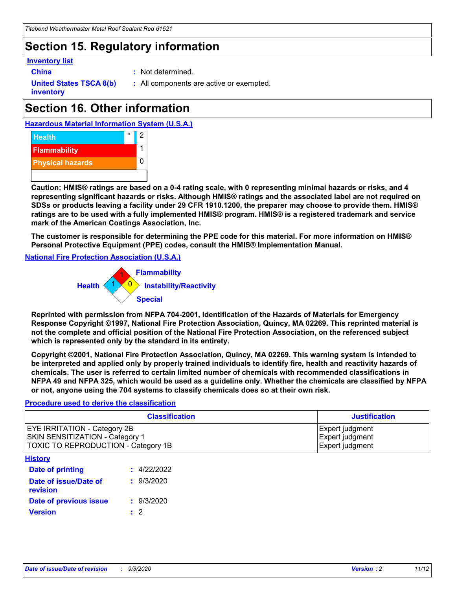## **Section 15. Regulatory information**

### **Inventory list**

- 
- **China :** Not determined.

**United States TSCA 8(b) inventory**

**:** All components are active or exempted.

## **Section 16. Other information**





**Caution: HMIS® ratings are based on a 0-4 rating scale, with 0 representing minimal hazards or risks, and 4 representing significant hazards or risks. Although HMIS® ratings and the associated label are not required on SDSs or products leaving a facility under 29 CFR 1910.1200, the preparer may choose to provide them. HMIS® ratings are to be used with a fully implemented HMIS® program. HMIS® is a registered trademark and service mark of the American Coatings Association, Inc.**

**The customer is responsible for determining the PPE code for this material. For more information on HMIS® Personal Protective Equipment (PPE) codes, consult the HMIS® Implementation Manual.**

**National Fire Protection Association (U.S.A.)**



**Reprinted with permission from NFPA 704-2001, Identification of the Hazards of Materials for Emergency Response Copyright ©1997, National Fire Protection Association, Quincy, MA 02269. This reprinted material is not the complete and official position of the National Fire Protection Association, on the referenced subject which is represented only by the standard in its entirety.**

**Copyright ©2001, National Fire Protection Association, Quincy, MA 02269. This warning system is intended to be interpreted and applied only by properly trained individuals to identify fire, health and reactivity hazards of chemicals. The user is referred to certain limited number of chemicals with recommended classifications in NFPA 49 and NFPA 325, which would be used as a guideline only. Whether the chemicals are classified by NFPA or not, anyone using the 704 systems to classify chemicals does so at their own risk.**

### **Procedure used to derive the classification**

| <b>Classification</b>                                                                                         | <b>Justification</b>                                  |
|---------------------------------------------------------------------------------------------------------------|-------------------------------------------------------|
| <b>EYE IRRITATION - Category 2B</b><br>SKIN SENSITIZATION - Category 1<br>TOXIC TO REPRODUCTION - Category 1B | Expert judgment<br>Expert judgment<br>Expert judgment |
| <b>History</b>                                                                                                |                                                       |

| .                                 |             |
|-----------------------------------|-------------|
| Date of printing                  | : 4/22/2022 |
| Date of issue/Date of<br>revision | : 9/3/2020  |
| Date of previous issue            | : 9/3/2020  |
| <b>Version</b>                    | $\cdot$ 2   |
|                                   |             |